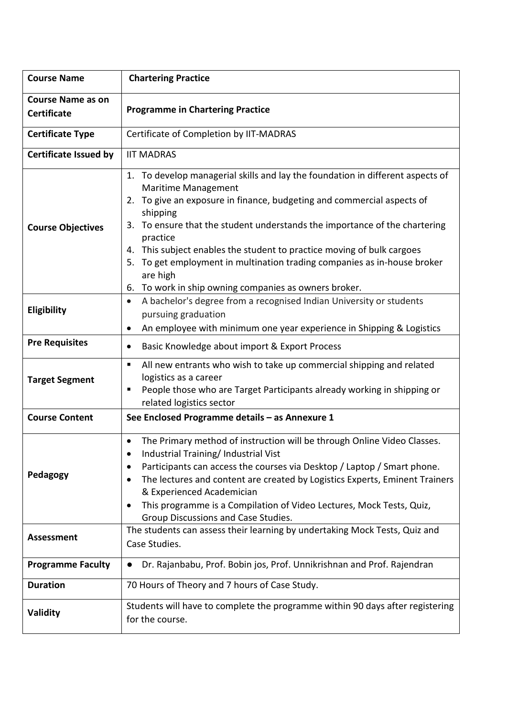| <b>Course Name</b>                             | <b>Chartering Practice</b>                                                                                                                                                                                                                                                                                                                                                                                                                                                                                                      |  |  |
|------------------------------------------------|---------------------------------------------------------------------------------------------------------------------------------------------------------------------------------------------------------------------------------------------------------------------------------------------------------------------------------------------------------------------------------------------------------------------------------------------------------------------------------------------------------------------------------|--|--|
| <b>Course Name as on</b><br><b>Certificate</b> | <b>Programme in Chartering Practice</b>                                                                                                                                                                                                                                                                                                                                                                                                                                                                                         |  |  |
| <b>Certificate Type</b>                        | Certificate of Completion by IIT-MADRAS                                                                                                                                                                                                                                                                                                                                                                                                                                                                                         |  |  |
| <b>Certificate Issued by</b>                   | <b>IIT MADRAS</b>                                                                                                                                                                                                                                                                                                                                                                                                                                                                                                               |  |  |
| <b>Course Objectives</b>                       | 1. To develop managerial skills and lay the foundation in different aspects of<br>Maritime Management<br>To give an exposure in finance, budgeting and commercial aspects of<br>2.<br>shipping<br>To ensure that the student understands the importance of the chartering<br>3.<br>practice<br>This subject enables the student to practice moving of bulk cargoes<br>4.<br>To get employment in multination trading companies as in-house broker<br>5.<br>are high<br>To work in ship owning companies as owners broker.<br>6. |  |  |
| <b>Eligibility</b>                             | A bachelor's degree from a recognised Indian University or students<br>$\bullet$<br>pursuing graduation<br>An employee with minimum one year experience in Shipping & Logistics<br>$\bullet$                                                                                                                                                                                                                                                                                                                                    |  |  |
| <b>Pre Requisites</b>                          | Basic Knowledge about import & Export Process<br>$\bullet$                                                                                                                                                                                                                                                                                                                                                                                                                                                                      |  |  |
| <b>Target Segment</b>                          | All new entrants who wish to take up commercial shipping and related<br>п<br>logistics as a career<br>People those who are Target Participants already working in shipping or<br>п<br>related logistics sector                                                                                                                                                                                                                                                                                                                  |  |  |
| <b>Course Content</b>                          | See Enclosed Programme details - as Annexure 1                                                                                                                                                                                                                                                                                                                                                                                                                                                                                  |  |  |
| Pedagogy                                       | The Primary method of instruction will be through Online Video Classes.<br>٠<br>Industrial Training/Industrial Vist<br>٠<br>Participants can access the courses via Desktop / Laptop / Smart phone.<br>The lectures and content are created by Logistics Experts, Eminent Trainers<br>$\bullet$<br>& Experienced Academician<br>This programme is a Compilation of Video Lectures, Mock Tests, Quiz,<br>٠<br>Group Discussions and Case Studies.                                                                                |  |  |
| <b>Assessment</b>                              | The students can assess their learning by undertaking Mock Tests, Quiz and<br>Case Studies.                                                                                                                                                                                                                                                                                                                                                                                                                                     |  |  |
| <b>Programme Faculty</b>                       | Dr. Rajanbabu, Prof. Bobin jos, Prof. Unnikrishnan and Prof. Rajendran<br>$\bullet$                                                                                                                                                                                                                                                                                                                                                                                                                                             |  |  |
| <b>Duration</b>                                | 70 Hours of Theory and 7 hours of Case Study.                                                                                                                                                                                                                                                                                                                                                                                                                                                                                   |  |  |
| Validity                                       | Students will have to complete the programme within 90 days after registering<br>for the course.                                                                                                                                                                                                                                                                                                                                                                                                                                |  |  |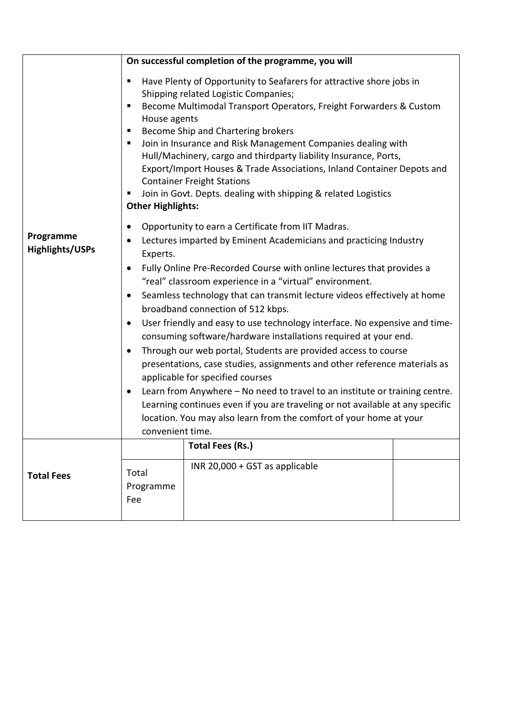|                                     | On successful completion of the programme, you will                                                                                                                                                                                                                                                                                                                                                                                                                                                                                                                                                                                                                                                                                                                                                                                                                                                                                                                                                                                                                       |                                                    |  |  |
|-------------------------------------|---------------------------------------------------------------------------------------------------------------------------------------------------------------------------------------------------------------------------------------------------------------------------------------------------------------------------------------------------------------------------------------------------------------------------------------------------------------------------------------------------------------------------------------------------------------------------------------------------------------------------------------------------------------------------------------------------------------------------------------------------------------------------------------------------------------------------------------------------------------------------------------------------------------------------------------------------------------------------------------------------------------------------------------------------------------------------|----------------------------------------------------|--|--|
| Programme<br><b>Highlights/USPs</b> | Have Plenty of Opportunity to Seafarers for attractive shore jobs in<br>п<br>Shipping related Logistic Companies;<br>Become Multimodal Transport Operators, Freight Forwarders & Custom<br>٠<br>House agents<br>Become Ship and Chartering brokers<br>п<br>Join in Insurance and Risk Management Companies dealing with<br>п<br>Hull/Machinery, cargo and thirdparty liability Insurance, Ports,<br>Export/Import Houses & Trade Associations, Inland Container Depots and<br><b>Container Freight Stations</b><br>Join in Govt. Depts. dealing with shipping & related Logistics<br>п<br><b>Other Highlights:</b>                                                                                                                                                                                                                                                                                                                                                                                                                                                        |                                                    |  |  |
|                                     | Opportunity to earn a Certificate from IIT Madras.<br>٠<br>Lectures imparted by Eminent Academicians and practicing Industry<br>$\bullet$<br>Experts.<br>Fully Online Pre-Recorded Course with online lectures that provides a<br>$\bullet$<br>"real" classroom experience in a "virtual" environment.<br>Seamless technology that can transmit lecture videos effectively at home<br>$\bullet$<br>broadband connection of 512 kbps.<br>User friendly and easy to use technology interface. No expensive and time-<br>$\bullet$<br>consuming software/hardware installations required at your end.<br>Through our web portal, Students are provided access to course<br>$\bullet$<br>presentations, case studies, assignments and other reference materials as<br>applicable for specified courses<br>Learn from Anywhere - No need to travel to an institute or training centre.<br>$\bullet$<br>Learning continues even if you are traveling or not available at any specific<br>location. You may also learn from the comfort of your home at your<br>convenient time. |                                                    |  |  |
| <b>Total Fees</b>                   | Total<br>Programme<br>Fee                                                                                                                                                                                                                                                                                                                                                                                                                                                                                                                                                                                                                                                                                                                                                                                                                                                                                                                                                                                                                                                 | Total Fees (Rs.)<br>INR 20,000 + GST as applicable |  |  |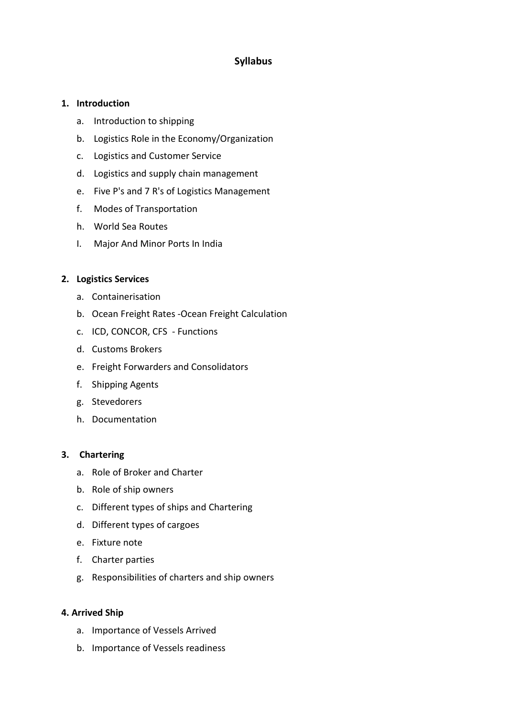## **Syllabus**

## **1. Introduction**

- a. Introduction to shipping
- b. Logistics Role in the Economy/Organization
- c. Logistics and Customer Service
- d. Logistics and supply chain management
- e. Five P's and 7 R's of Logistics Management
- f. Modes of Transportation
- h. World Sea Routes
- I. Major And Minor Ports In India

#### **2. Logistics Services**

- a. Containerisation
- b. Ocean Freight Rates -Ocean Freight Calculation
- c. ICD, CONCOR, CFS Functions
- d. Customs Brokers
- e. Freight Forwarders and Consolidators
- f. Shipping Agents
- g. Stevedorers
- h. Documentation

#### **3. Chartering**

- a. Role of Broker and Charter
- b. Role of ship owners
- c. Different types of ships and Chartering
- d. Different types of cargoes
- e. Fixture note
- f. Charter parties
- g. Responsibilities of charters and ship owners

#### **4. Arrived Ship**

- a. Importance of Vessels Arrived
- b. Importance of Vessels readiness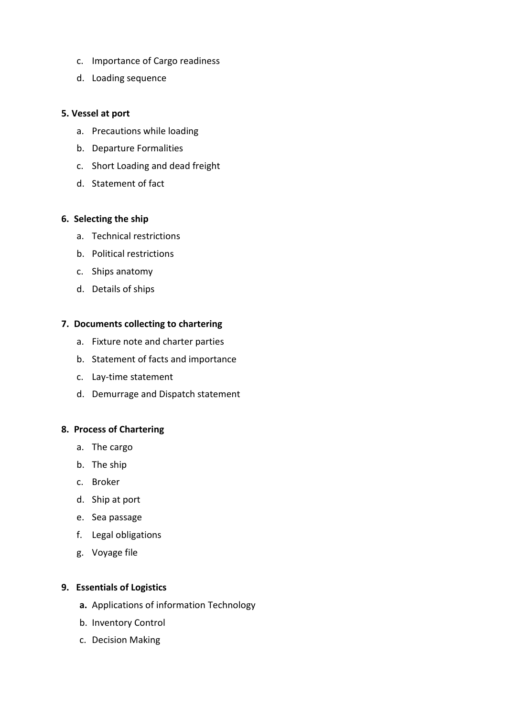- c. Importance of Cargo readiness
- d. Loading sequence

### **5. Vessel at port**

- a. Precautions while loading
- b. Departure Formalities
- c. Short Loading and dead freight
- d. Statement of fact

## **6. Selecting the ship**

- a. Technical restrictions
- b. Political restrictions
- c. Ships anatomy
- d. Details of ships

## **7. Documents collecting to chartering**

- a. Fixture note and charter parties
- b. Statement of facts and importance
- c. Lay-time statement
- d. Demurrage and Dispatch statement

#### **8. Process of Chartering**

- a. The cargo
- b. The ship
- c. Broker
- d. Ship at port
- e. Sea passage
- f. Legal obligations
- g. Voyage file

## **9. Essentials of Logistics**

- **a.** Applications of information Technology
- b. Inventory Control
- c. Decision Making